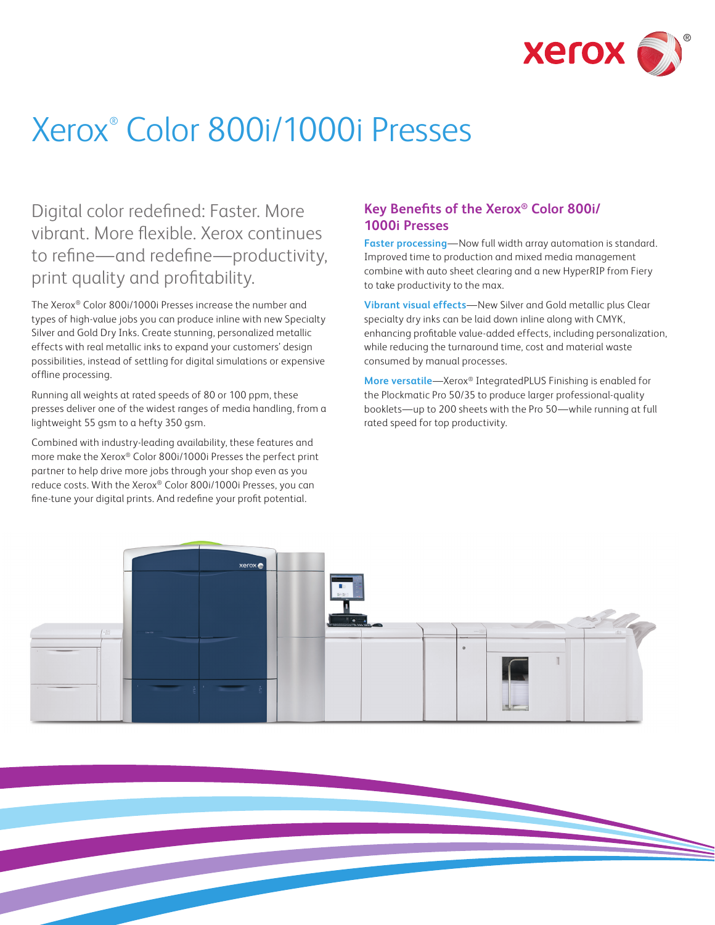

# Xerox® Color 800i/1000i Presses

Digital color redefined: Faster. More vibrant. More flexible. Xerox continues to refine—and redefine—productivity, print quality and profitability.

The Xerox® Color 800i/1000i Presses increase the number and types of high-value jobs you can produce inline with new Specialty Silver and Gold Dry Inks. Create stunning, personalized metallic effects with real metallic inks to expand your customers' design possibilities, instead of settling for digital simulations or expensive offline processing.

Running all weights at rated speeds of 80 or 100 ppm, these presses deliver one of the widest ranges of media handling, from a lightweight 55 gsm to a hefty 350 gsm.

Combined with industry-leading availability, these features and more make the Xerox® Color 800i/1000i Presses the perfect print partner to help drive more jobs through your shop even as you reduce costs. With the Xerox® Color 800i/1000i Presses, you can fine-tune your digital prints. And redefine your profit potential.

#### **Key Benefits of the Xerox® Color 800i/ 1000i Presses**

**Faster processing**—Now full width array automation is standard. Improved time to production and mixed media management combine with auto sheet clearing and a new HyperRIP from Fiery to take productivity to the max.

**Vibrant visual effects**—New Silver and Gold metallic plus Clear specialty dry inks can be laid down inline along with CMYK, enhancing profitable value-added effects, including personalization, while reducing the turnaround time, cost and material waste consumed by manual processes.

**More versatile**—Xerox® IntegratedPLUS Finishing is enabled for the Plockmatic Pro 50/35 to produce larger professional-quality booklets—up to 200 sheets with the Pro 50—while running at full rated speed for top productivity.